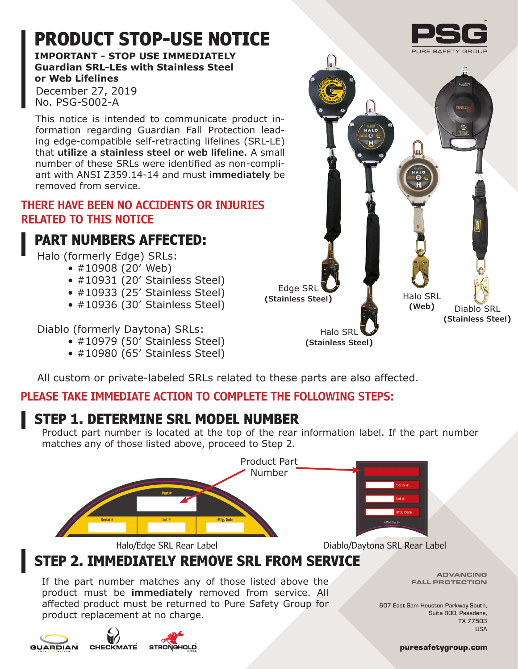## **PRODUCT STOP-USE NOTICE**

**IMPORTANT - STOP USE IMMEDIATELY Guardian SRL-LEs with Stainless Steel or Web Lifelines**

December 27, 2019 No. PSG-S002-A

This notice is intended to communicate product information regarding Guardian Fall Protection leading edge-compatible self-retracting lifelines (SRL-LE) that **utilize a stainless steel or web lifeline**. A small number of these SRLs were identified as non-compliant with ANSI Z359.14-14 and must **immediately** be removed from service.

#### **THERE HAVE BEEN NO ACCIDENTS OR INJURIES RELATED TO THIS NOTICE**

## **PART NUMBERS AFFECTED:**

Halo (formerly Edge) SRLs:

- #10908 (20' Web)
- #10931 (20' Stainless Steel)
- #10933 (25' Stainless Steel)
- #10936 (30' Stainless Steel)

Diablo (formerly Daytona) SRLs:

- #10979 (50' Stainless Steel)
- #10980 (65' Stainless Steel)



All custom or private-labeled SRLs related to these parts are also affected.

### **PLEASE TAKE IMMEDIATE ACTION TO COMPLETE THE FOLLOWING STEPS:**

### **STEP 1. DETERMINE SRL MODEL NUMBER**

Product part number is located at the top of the rear information label. If the part number matches any of those listed above, proceed to Step 2.



If the part number matches any of those listed above the product must be **immediately** removed from service. All affected product must be returned to Pure Safety Group for product replacement at no charge.

ADVANCING FALL PROTECTION

607 East Sam Houston Parkway South, Suite 800, Pasadena, TX 77503 **USA** 





puresafetygroup.com